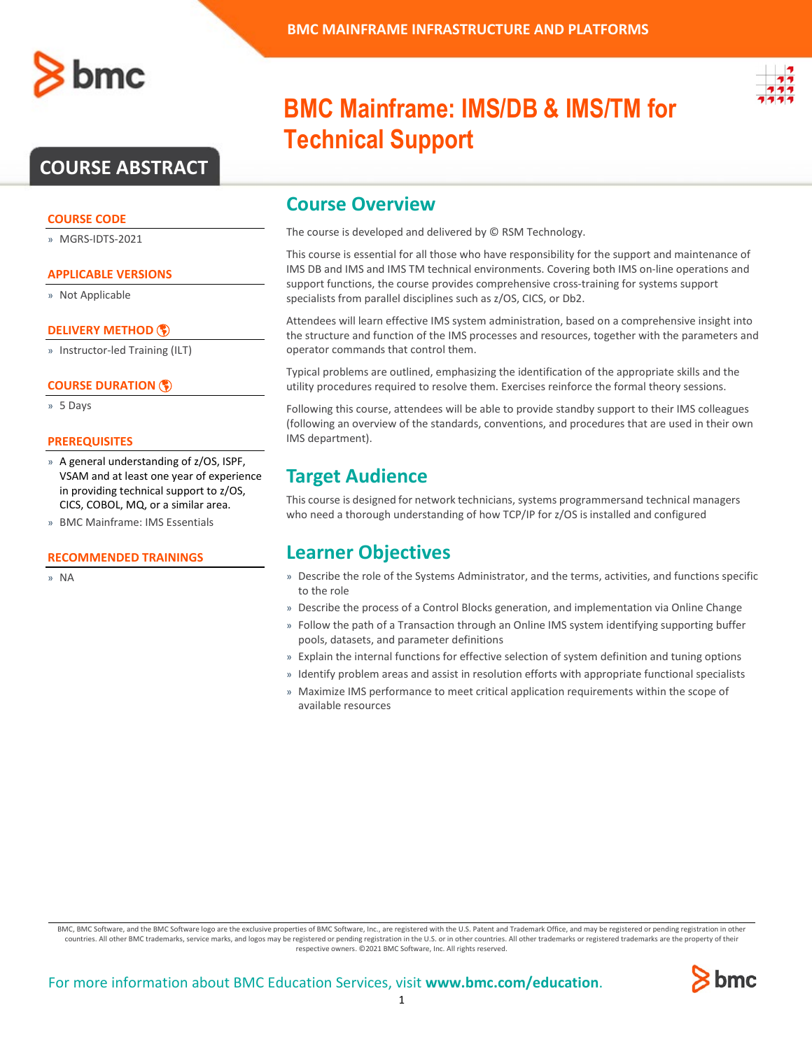

#### **COURSE CODE**

» MGRS-IDTS-2021

#### **APPLICABLE VERSIONS**

» Not Applicable

#### **[DELIVERY METHOD](http://www.bmc.com/education/modality.html)**

» Instructor-led Training (ILT)

#### **[COURSE DURATION](http://www.bmc.com/education/learning-paths/education-filters-learning-paths.html)**

» 5 Days

#### **PREREQUISITES**

- » A general understanding of z/OS, ISPF, VSAM and at least one year of experience in providing technical support to z/OS, CICS, COBOL, MQ, or a similar area.
- » BMC Mainframe: IMS Essentials

#### **RECOMMENDED TRAININGS**

» NA

# **BMC Mainframe: IMS/DB & IMS/TM for Technical Support**

### **Course Overview**

The course is developed and delivered by © RSM Technology.

This course is essential for all those who have responsibility for the support and maintenance of IMS DB and IMS and IMS TM technical environments. Covering both IMS on-line operations and support functions, the course provides comprehensive cross-training for systems support specialists from parallel disciplines such as z/OS, CICS, or Db2.

Attendees will learn effective IMS system administration, based on a comprehensive insight into the structure and function of the IMS processes and resources, together with the parameters and operator commands that control them.

Typical problems are outlined, emphasizing the identification of the appropriate skills and the utility procedures required to resolve them. Exercises reinforce the formal theory sessions.

Following this course, attendees will be able to provide standby support to their IMS colleagues (following an overview of the standards, conventions, and procedures that are used in their own IMS department).

### **Target Audience**

This course is designed for network technicians, systems programmersand technical managers who need a thorough understanding of how TCP/IP for z/OS is installed and configured

### **Learner Objectives**

- » Describe the role of the Systems Administrator, and the terms, activities, and functions specific to the role
- » Describe the process of a Control Blocks generation, and implementation via Online Change
- » Follow the path of a Transaction through an Online IMS system identifying supporting buffer pools, datasets, and parameter definitions
- » Explain the internal functions for effective selection of system definition and tuning options
- » Identify problem areas and assist in resolution efforts with appropriate functional specialists
- » Maximize IMS performance to meet critical application requirements within the scope of available resources

BMC, BMC Software, and the BMC Software logo are the exclusive properties of BMC Software, Inc., are registered with the U.S. Patent and Trademark Office, and may be registered or pending registration in other countries. All other BMC trademarks, service marks, and logos may be registered or pending registration in the U.S. or in other countries. All other trademarks or registered trademarks are the property of their respective owners. ©2021 BMC Software, Inc. All rights reserved.

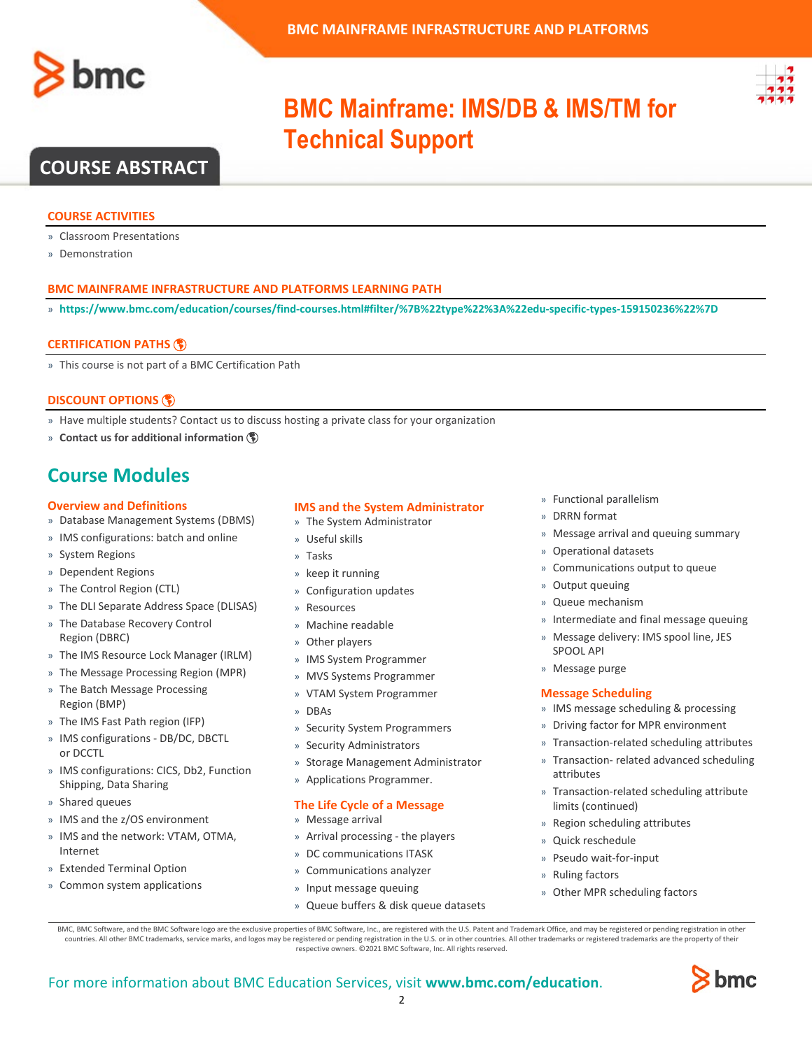



# **BMC Mainframe: IMS/DB & IMS/TM for Technical Support**

### **COURSE ABSTRACT**

#### **COURSE ACTIVITIES**

- » Classroom Presentations
- » Demonstration

#### **BMC MAINFRAME INFRASTRUCTURE AND PLATFORMS LEARNING PATH**

» **<https://www.bmc.com/education/courses/find-courses.html#filter/%7B%22type%22%3A%22edu-specific-types-159150236%22%7D>**

#### **[CERTIFICATION PATHS](http://www.bmc.com/education/certification-programs)**

» This course is not part of a BMC Certification Path

#### **[DISCOUNT OPTIONS](http://www.bmc.com/education/customer-service/customer-service.html)**

- » Have multiple students? Contact us to discuss hosting a private class for your organization
- » **[Contact us for additional information](http://www.bmc.com/education)**

## **Course Modules**

#### **Overview and Definitions**

- » Database Management Systems (DBMS)
- » IMS configurations: batch and online
- » System Regions
- » Dependent Regions
- » The Control Region (CTL)
- » The DLI Separate Address Space (DLISAS)
- » The Database Recovery Control Region (DBRC)
- » The IMS Resource Lock Manager (IRLM)
- » The Message Processing Region (MPR)
- » The Batch Message Processing Region (BMP)
- » The IMS Fast Path region (IFP)
- » IMS configurations DB/DC, DBCTL or DCCTL
- » IMS configurations: CICS, Db2, Function Shipping, Data Sharing
- » Shared queues
- » IMS and the z/OS environment
- » IMS and the network: VTAM, OTMA, Internet
- » Extended Terminal Option
- » Common system applications

#### **IMS and the System Administrator**

- » The System Administrator
- » Useful skills
- » Tasks
- » keep it running
- » Configuration updates
- **Resources** » Machine readable
- » Other players
- » IMS System Programmer
- » MVS Systems Programmer
- » VTAM System Programmer
- » DBAs
- » Security System Programmers
- » Security Administrators
- » Storage Management Administrator
- » Applications Programmer.

#### **The Life Cycle of a Message**

- » Message arrival
- » Arrival processing the players
- » DC communications ITASK
- » Communications analyzer
- » Input message queuing
- » Queue buffers & disk queue datasets
- » Functional parallelism
- » DRRN format
- » Message arrival and queuing summary
- » Operational datasets
- Communications output to queue
- » Output queuing
- » Queue mechanism
- » Intermediate and final message queuing
- » Message delivery: IMS spool line, JES SPOOL API
- » Message purge

#### **Message Scheduling**

- » IMS message scheduling & processing
- » Driving factor for MPR environment
- » Transaction-related scheduling attributes
- » Transaction- related advanced scheduling attributes
- » Transaction-related scheduling attribute limits (continued)
- » Region scheduling attributes
- » Quick reschedule
- » Pseudo wait-for-input
- » Ruling factors
- » Other MPR scheduling factors

BMC, BMC Software, and the BMC Software logo are the exclusive properties of BMC Software, Inc., are registered with the U.S. Patent and Trademark Office, and may be registered or pending registration in other countries. All other BMC trademarks, service marks, and logos may be registered or pending registration in the U.S. or in other countries. All other trademarks or registered trademarks are the property of their respective owners. ©2021 BMC Software, Inc. All rights reserved.

 $\mathfrak{Z}$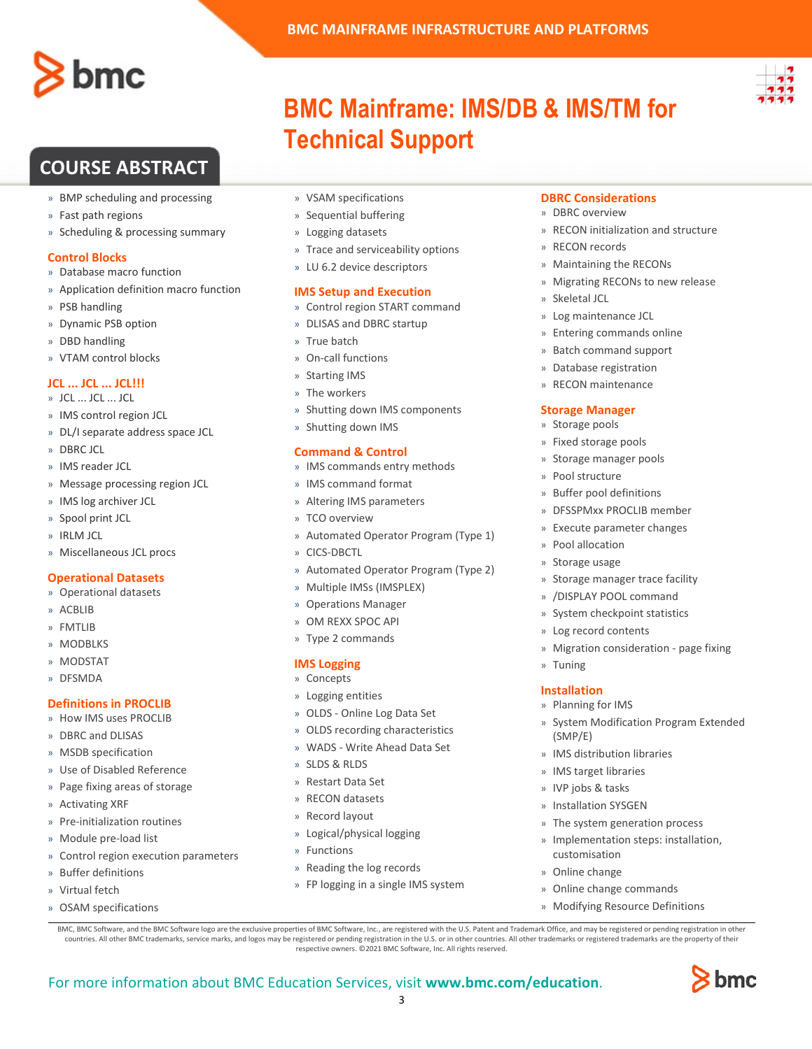

- » BMP scheduling and processing
- » Fast path regions
- » Scheduling & processing summary

#### **Control Blocks**

- » Database macro function
- » Application definition macro function
- » PSB handling
- » Dynamic PSB option
- » DBD handling
- » VTAM control blocks

### **JCL ... JCL ... JCL!!!**

- » JCL ... JCL ... JCL
- » IMS control region JCL
- » DL/I separate address space JCL
- » DBRC JCL
- » IMS reader JCL
- » Message processing region JCL
- » IMS log archiver JCL
- » Spool print JCL
- » IRLM JCL
- » Miscellaneous JCL procs

#### **Operational Datasets**

- » Operational datasets
- » ACBLIB
- » FMTLIB
- » MODBLKS
- » MODSTAT
- » DFSMDA

#### **Definitions in PROCLIB**

- » How IMS uses PROCLIB
- » DBRC and DLISAS
- » MSDB specification
- » Use of Disabled Reference
- » Page fixing areas of storage
- » Activating XRF
- » Pre-initialization routines
- » Module pre-load list
- » Control region execution parameters
- » Buffer definitions
- » Virtual fetch
- » OSAM specifications
- » VSAM specifications
- » Sequential buffering
- » Logging datasets
- » Trace and serviceability options

**Technical Support**

**BMC MAINFRAME INFRASTRUCTURE AND PLATFORMS**

**BMC Mainframe: IMS/DB & IMS/TM for** 

» LU 6.2 device descriptors

#### **IMS Setup and Execution**

- » Control region START command
- » DLISAS and DBRC startup
- » True batch
- » On-call functions
- » Starting IMS
- » The workers
- » Shutting down IMS components
- » Shutting down IMS

#### **Command & Control**

- » IMS commands entry methods
- » IMS command format
- » Altering IMS parameters
- » TCO overview
- » Automated Operator Program (Type 1)
- » CICS-DBCTL
- » Automated Operator Program (Type 2)
- » Multiple IMSs (IMSPLEX)
- » Operations Manager
- » OM REXX SPOC API
- » Type 2 commands

#### **IMS Logging**

- » Concepts
- » Logging entities
- » OLDS Online Log Data Set
- » OLDS recording characteristics
- » WADS Write Ahead Data Set
- » SLDS & RLDS
- » Restart Data Set
- » RECON datasets
- » Record layout
- » Logical/physical logging
- » Functions

For more information about BMC Education Services, visit **[www.bmc.com/education](http://www.bmc.com/education/)**.

- » Reading the log records
- » FP logging in a single IMS system

BMC, BMC Software, and the BMC Software logo are the exclusive properties of BMC Software, Inc., are registered with the U.S. Patent and Trademark Office, and may be registered or pending registration in other countries. All other BMC trademarks, service marks, and logos may be registered or pending registration in the U.S. or in other countries. All other trademarks or registered trademarks are the property of their respective owners. ©2021 BMC Software, Inc. All rights reserved.

3

#### **DBRC Considerations**

- » DBRC overview
- » RECON initialization and structure
- » RECON records
- » Maintaining the RECONs
- » Migrating RECONs to new release
- » Skeletal JCL
- » Log maintenance JCL
- » Entering commands online
- » Batch command support
- » Database registration
- » RECON maintenance

#### **Storage Manager**

- » Storage pools
- » Fixed storage pools
- » Storage manager pools

» Buffer pool definitions » DFSSPMxx PROCLIB member » Execute parameter changes

» Storage manager trace facility » /DISPLAY POOL command » System checkpoint statistics » Log record contents

» Migration consideration - page fixing

» System Modification Program Extended

» Pool structure

» Pool allocation » Storage usage

» Tuning **Installation** » Planning for IMS

(SMP/E)

customisation » Online change

» IMS distribution libraries » IMS target libraries » IVP jobs & tasks » Installation SYSGEN

» The system generation process » Implementation steps: installation,

» Online change commands » Modifying Resource Definitions

bmc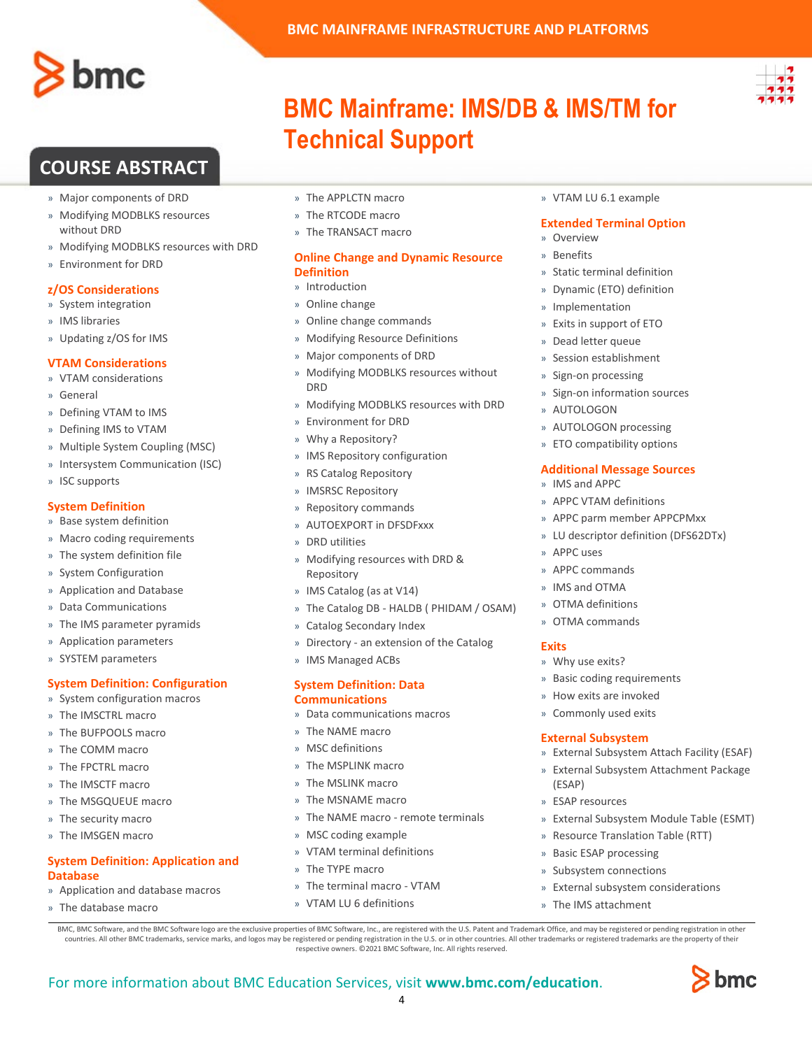

- » Major components of DRD
- » Modifying MODBLKS resources without DRD
- » Modifying MODBLKS resources with DRD
- » Environment for DRD

#### **z/OS Considerations**

- » System integration
- » IMS libraries
- » Updating z/OS for IMS

#### **VTAM Considerations**

- » VTAM considerations
- » General
- » Defining VTAM to IMS
- » Defining IMS to VTAM
- » Multiple System Coupling (MSC)
- » Intersystem Communication (ISC)
- » ISC supports

#### **System Definition**

- » Base system definition
- » Macro coding requirements
- » The system definition file
- » System Configuration
- » Application and Database
- » Data Communications
- » The IMS parameter pyramids
- » Application parameters
- » SYSTEM parameters

#### **System Definition: Configuration**

- » System configuration macros
- » The IMSCTRL macro
- » The BUFPOOLS macro
- » The COMM macro
- » The FPCTRL macro
- » The IMSCTF macro
- » The MSGQUEUE macro
- » The security macro
- » The IMSGEN macro

» The database macro

#### **System Definition: Application and Database**

» Application and database macros

- » The APPLCTN macro
- » The RTCODE macro
- » The TRANSACT macro

#### **Online Change and Dynamic Resource Definition**

**Technical Support**

**BMC MAINFRAME INFRASTRUCTURE AND PLATFORMS**

**BMC Mainframe: IMS/DB & IMS/TM for** 

- » Introduction
- » Online change
- » Online change commands
- » Modifying Resource Definitions
- » Major components of DRD
- » Modifying MODBLKS resources without DRD
- » Modifying MODBLKS resources with DRD
- » Environment for DRD
- » Why a Repository?
- » IMS Repository configuration
- » RS Catalog Repository
- » IMSRSC Repository
- » Repository commands
- » AUTOEXPORT in DFSDFxxx
- » DRD utilities
- » Modifying resources with DRD & Repository
- » IMS Catalog (as at V14)
- » The Catalog DB HALDB ( PHIDAM / OSAM)
- » Catalog Secondary Index
- » Directory an extension of the Catalog
- » IMS Managed ACBs

#### **System Definition: Data Communications**

- » Data communications macros
- » The NAME macro
- » MSC definitions
- » The MSPLINK macro
- » The MSLINK macro
- » The MSNAME macro
- » The NAME macro remote terminals

BMC, BMC Software, and the BMC Software logo are the exclusive properties of BMC Software, Inc., are registered with the U.S. Patent and Trademark Office, and may be registered or pending registration in other countries. All other BMC trademarks, service marks, and logos may be registered or pending registration in the U.S. or in other countries. All other trademarks or registered trademarks are the property of their respective owners. ©2021 BMC Software, Inc. All rights reserved.

4

- » MSC coding example
- » VTAM terminal definitions
- » The TYPE macro

For more information about BMC Education Services, visit **[www.bmc.com/education](http://www.bmc.com/education/)**.

- » The terminal macro VTAM
- » VTAM LU 6 definitions

» VTAM LU 6.1 example

#### **Extended Terminal Option**

- » Overview
- » Benefits
- » Static terminal definition
- » Dynamic (ETO) definition
- **Implementation**
- » Exits in support of ETO
- » Dead letter queue
- » Session establishment
- » Sign-on processing
- » Sign-on information sources
- » AUTOLOGON
- » AUTOLOGON processing
- » ETO compatibility options

#### **Additional Message Sources**

- » IMS and APPC
- » APPC VTAM definitions
- » APPC parm member APPCPMxx
- » LU descriptor definition (DFS62DTx)
- » APPC uses

**Exits**

» APPC commands » IMS and OTMA

» OTMA definitions » OTMA commands

» Why use exits?

(ESAP) » ESAP resources

» Basic coding requirements » How exits are invoked » Commonly used exits **External Subsystem**

» External Subsystem Attach Facility (ESAF) » External Subsystem Attachment Package

» External Subsystem Module Table (ESMT)

bmc

» Resource Translation Table (RTT)

» External subsystem considerations

» Basic ESAP processing » Subsystem connections

» The IMS attachment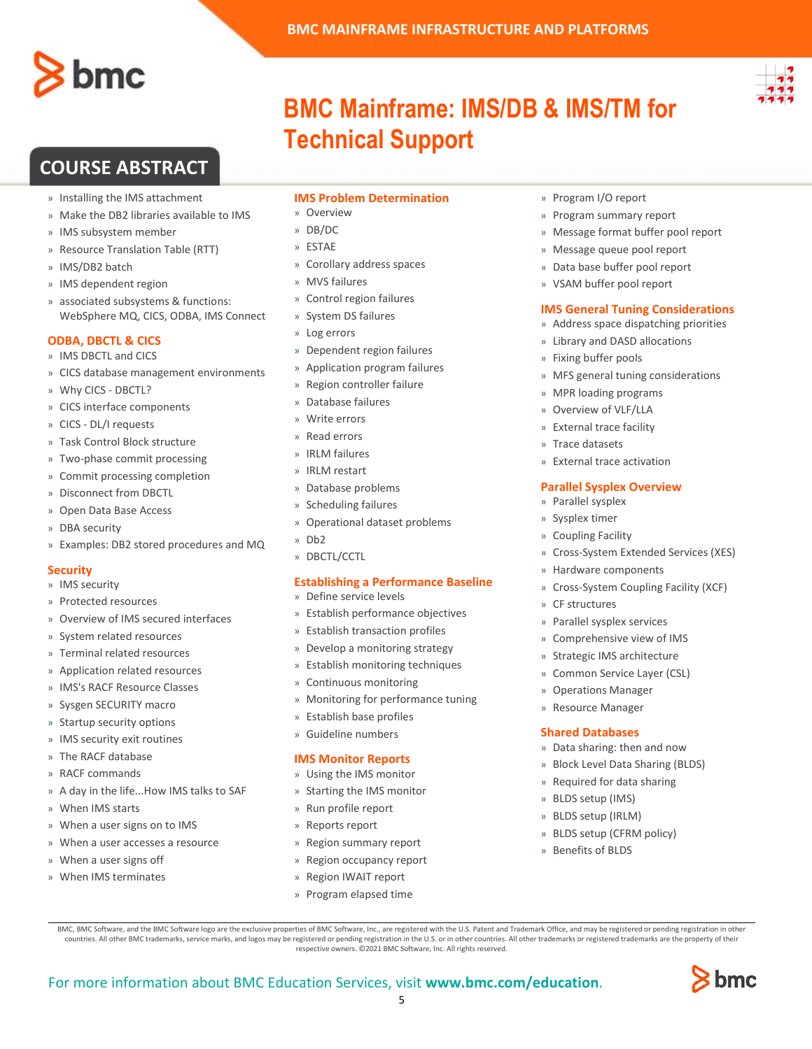

- » Installing the IMS attachment
- » Make the DB2 libraries available to IMS
- » IMS subsystem member
- » Resource Translation Table (RTT)
- » IMS/DB2 batch
- » IMS dependent region
- » associated subsystems & functions: WebSphere MQ, CICS, ODBA, IMS Connect

#### **ODBA, DBCTL & CICS**

- » IMS DBCTL and CICS
- » CICS database management environments
- » Why CICS DBCTL?
- » CICS interface components
- » CICS DL/I requests
- » Task Control Block structure
- » Two-phase commit processing
- » Commit processing completion
- » Disconnect from DBCTL
- » Open Data Base Access
- » DBA security
- » Examples: DB2 stored procedures and MQ

#### **Security**

- » IMS security
- » Protected resources
- » Overview of IMS secured interfaces
- » System related resources
- » Terminal related resources
- » Application related resources
- » IMS's RACF Resource Classes
- » Sysgen SECURITY macro
- » Startup security options
- » IMS security exit routines
- » The RACF database
- » RACF commands
- » A day in the life...How IMS talks to SAF
- » When IMS starts
- » When a user signs on to IMS
- » When a user accesses a resource
- » When a user signs off
- » When IMS terminates

### **IMS Problem Determination**

**Technical Support**

**BMC MAINFRAME INFRASTRUCTURE AND PLATFORMS**

**BMC Mainframe: IMS/DB & IMS/TM for** 

- » Overview
- » DB/DC
- » ESTAE
- » Corollary address spaces
- » MVS failures
- » Control region failures
- » System DS failures
- » Log errors
- » Dependent region failures
- » Application program failures
- » Region controller failure
- » Database failures
- » Write errors
- » Read errors
- » IRLM failures
- » IRLM restart
- » Database problems
- » Scheduling failures
- » Operational dataset problems
- » Db2
- » DBCTL/CCTL

#### **Establishing a Performance Baseline**

- » Define service levels
- » Establish performance objectives
- » Establish transaction profiles
- » Develop a monitoring strategy
- » Establish monitoring techniques
- » Continuous monitoring
- » Monitoring for performance tuning
- » Establish base profiles
- » Guideline numbers

#### **IMS Monitor Reports**

- » Using the IMS monitor
- » Starting the IMS monitor
- » Run profile report
- » Reports report

For more information about BMC Education Services, visit **[www.bmc.com/education](http://www.bmc.com/education/)**.

- » Region summary report
- Region occupancy report

BMC, BMC Software, and the BMC Software logo are the exclusive properties of BMC Software, Inc., are registered with the U.S. Patent and Trademark Office, and may be registered or pending registration in other countries. All other BMC trademarks, service marks, and logos may be registered or pending registration in the U.S. or in other countries. All other trademarks or registered trademarks are the property of their respective owners. ©2021 BMC Software, Inc. All rights reserved.

5

- » Region IWAIT report
- » Program elapsed time
- » Program I/O report
- » Program summary report
- » Message format buffer pool report
- » Message queue pool report
- » Data base buffer pool report
- » VSAM buffer pool report

#### **IMS General Tuning Considerations**

- » Address space dispatching priorities
- » Library and DASD allocations
- » Fixing buffer pools
- » MFS general tuning considerations
- » MPR loading programs
- » Overview of VLF/LLA
- » External trace facility
- » Trace datasets
- » External trace activation

» Hardware components

» Parallel sysplex services » Comprehensive view of IMS » Strategic IMS architecture » Common Service Layer (CSL) » Operations Manager » Resource Manager **Shared Databases**

» Data sharing: then and now » Block Level Data Sharing (BLDS) » Required for data sharing

bmc

» BLDS setup (IMS) » BLDS setup (IRLM) » BLDS setup (CFRM policy)

» Benefits of BLDS

#### **Parallel Sysplex Overview**

» Cross-System Extended Services (XES)

» Cross-System Coupling Facility (XCF)

» Parallel sysplex » Sysplex timer

» Coupling Facility

» CF structures